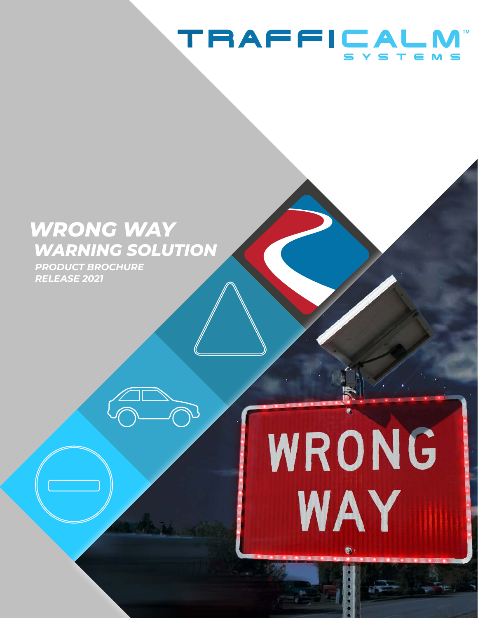# **TRAFFICALM**

855-738-272 | www.trafficalm.com

WRONG

WAY

# *WRONG WAY WARNING SOLUTION*

*PRODUCT BROCHURE RELEASE 2021*

Copyright © TraffiCalm™ Systems, 2020, all rights reserved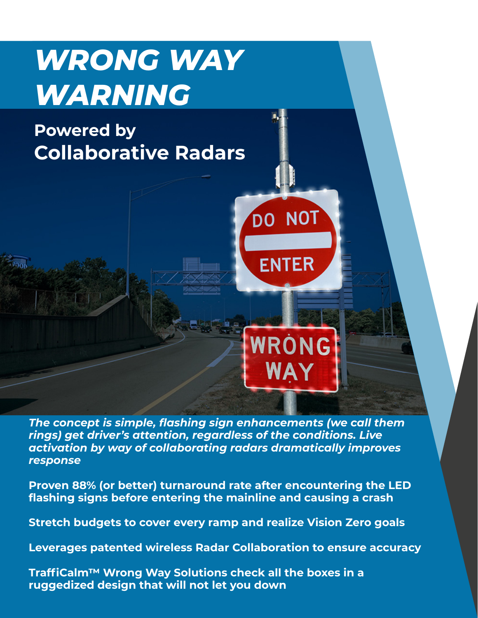# *WRONG WAY WARNING*

# **Powered by Collaborative Radars**

*The concept is simple, flashing sign enhancements (we call them rings) get driver's attention, regardless of the conditions. Live activation by way of collaborating radars dramatically improves response*

**DO NOT** 

**ENTER** 

WRÓNG

WAY

**Proven 88% (or better) turnaround rate after encountering the LED flashing signs before entering the mainline and causing a crash**

**Stretch budgets to cover every ramp and realize Vision Zero goals**

**Leverages patented wireless Radar Collaboration to ensure accuracy**

**TraffiCalm™ Wrong Way Solutions check all the boxes in a ruggedized design that will not let you down**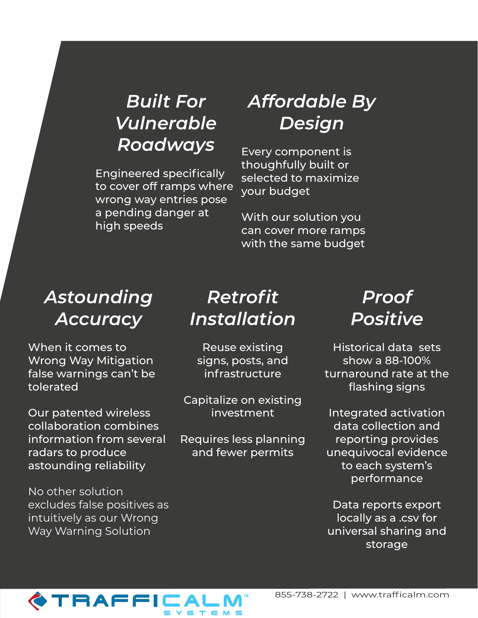# *Built For Vulnerable Roadways*

Engineered specifically to cover off ramps where wrong way entries pose a pending danger at high speeds

## *Affordable By Design*

Every component is thoughfully built or selected to maximize your budget

With our solution you can cover more ramps with the same budget

### *Astounding Accuracy*

When it comes to Wrong Way Mitigation false warnings can't be tolerated

Our patented wireless collaboration combines information from several radars to produce astounding reliability

No other solution excludes false positives as intuitively as our Wrong Way Warning Solution

# *Retrofit Installation*

Reuse existing signs, posts, and infrastructure

Capitalize on existing investment

Requires less planning and fewer permits

## *Proof Positive*

Historical data sets show a 88-100% turnaround rate at the flashing signs

Integrated activation data collection and reporting provides unequivocal evidence to each system's performance

Data reports export locally as a .csv for universal sharing and storage

# TRAFFICAL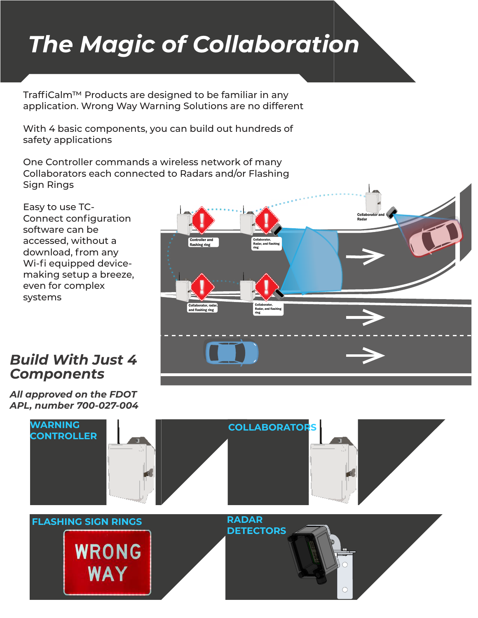# *The Magic of Collaboration*

TraffiCalm™ Products are designed to be familiar in any application. Wrong Way Warning Solutions are no different

With 4 basic components, you can build out hundreds of safety applications

One Controller commands a wireless network of many Collaborators each connected to Radars and/or Flashing Sign Rings

Easy to use TC-Connect configuration software can be accessed, without a download, from any Wi-fi equipped devicemaking setup a breeze, even for complex systems

### *Build With Just 4 Components*

*All approved on the FDOT APL, number 700-027-004*



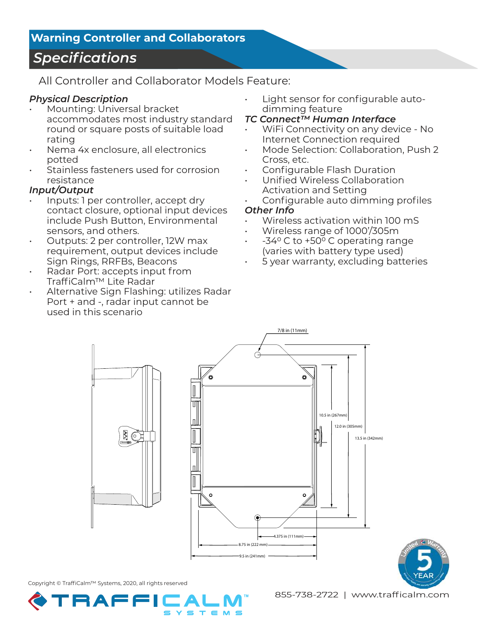#### **Warning Controller and Collaborators**

### *Specifications*

All Controller and Collaborator Models Feature:

#### *Physical Description*

- Mounting: Universal bracket accommodates most industry standard round or square posts of suitable load rating
- Nema 4x enclosure, all electronics potted
- Stainless fasteners used for corrosion resistance

#### *Input/Output*

- Inputs: 1 per controller, accept dry contact closure, optional input devices include Push Button, Environmental sensors, and others.
- Outputs: 2 per controller, 12W max requirement, output devices include Sign Rings, RRFBs, Beacons
- Radar Port: accepts input from TraffiCalm™ Lite Radar
- Alternative Sign Flashing: utilizes Radar Port + and -, radar input cannot be used in this scenario
- Light sensor for configurable autodimming feature
- *TC Connect™ Human Interface*
- WiFi Connectivity on any device No Internet Connection required
- Mode Selection: Collaboration, Push 2 Cross, etc.
- Configurable Flash Duration
- Unified Wireless Collaboration Activation and Setting
- Configurable auto dimming profiles *Other Info*
- Wireless activation within 100 mS
- Wireless range of 1000'/305m
- $-34^{\circ}$  C to  $+50^{\circ}$  C operating range (varies with battery type used)
- 5 year warranty, excluding batteries



Copyright © TraffiCalm™ Systems, 2020, all rights reserved

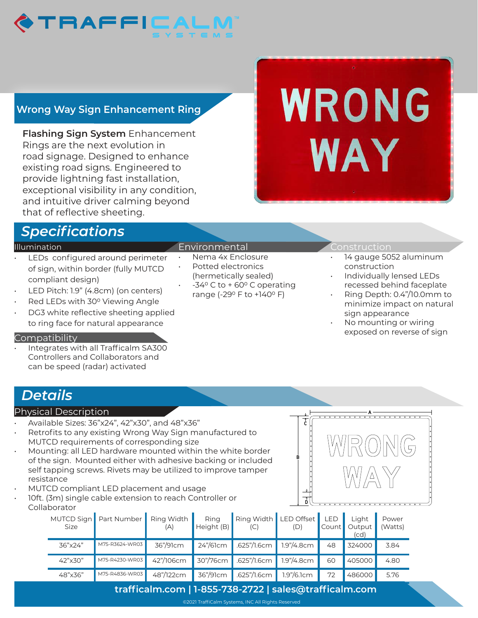

### **Wrong Way Sign Enhancement Ring**

**Flashing Sign System** Enhancement Rings are the next evolution in road signage. Designed to enhance existing road signs. Engineered to provide lightning fast installation, exceptional visibility in any condition, and intuitive driver calming beyond that of reflective sheeting.

### *Specifications*

#### Illumination

- LEDs configured around perimeter of sign, within border (fully MUTCD compliant design)
- LED Pitch: 1.9" (4.8cm) (on centers)
- Red LEDs with 30° Viewing Angle
- DG3 white reflective sheeting applied to ring face for natural appearance

#### Compatibility

• Integrates with all Trafficalm SA300 Controllers and Collaborators and can be speed (radar) activated

#### Environmental

- Nema 4x Enclosure
- Potted electronics (hermetically sealed)
- $-34^{\circ}$  C to + 60 $^{\circ}$  C operating range (-29° F to +140° F)

#### ionstruction

WRONG

**WAY** 

- 14 gauge 5052 aluminum construction
- Individually lensed LEDs recessed behind faceplate
- Ring Depth: 0.4"/10.0mm to minimize impact on natural sign appearance
- No mounting or wiring exposed on reverse of sign

A

WWR(0)|N|(G

 $\big/\Delta\big\backslash$ 

### *Details*

#### Physical Description

- Available Sizes: 36"x24", 42"x30", and 48"x36"
- Retrofits to any existing Wrong Way Sign manufactured to MUTCD requirements of corresponding size
- Mounting: all LED hardware mounted within the white border of the sign. Mounted either with adhesive backing or included self tapping screws. Rivets may be utilized to improve tamper resistance
- MUTCD compliant LED placement and usage
- 10ft. (3m) single cable extension to reach Controller or Collaborator

| Size    | MUTCD Sign   Part Number | Ring Width<br>(A) | Ring<br>Height $(B)$              | Ring Width LED Offset LED<br>(C) | (D)         | $\vert$ Count $\vert$ | Light<br>Output<br>(cd) | Power<br>(Watts) |
|---------|--------------------------|-------------------|-----------------------------------|----------------------------------|-------------|-----------------------|-------------------------|------------------|
| 36"x24" | M75-R3624-WR03           | 36"/91cm          | 24"/61cm                          | $.625$ "/1.6cm                   | 1.9"/4.8cm  | 48                    | 324000                  | 3.84             |
| 42"x30" | M75-R4230-WR03           | 42"/106cm         | $30\frac{\text{m}}{\text{76}}$ cm | .625''/1.6cm                     | 1.9"/4.8cm  | 60                    | 405000                  | 4.80             |
| 48"x36" | M75-R4836-WR03           | 48"/122cm         | 36"/91cm                          | .625"/1.6cm                      | 1.9''/6.1cm | 72                    | 486000                  | 5.76             |

#### **trafficalm.com | 1-855-738-2722 | sales@trafficalm.com**

B

 $\overline{\overline{c}}$ 

D

©2021 TraffiCalm Systems, INC All Rights Reserved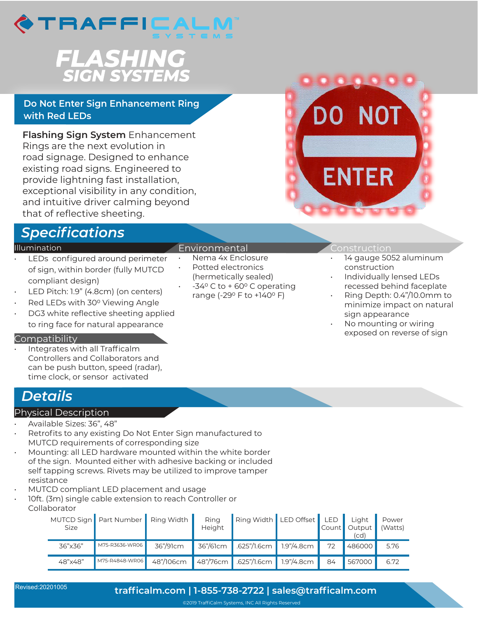

# **FLASHING**<br>SIGN SYSTEMS

#### **Do Not Enter Sign Enhancement Ring with Red LEDs**

**Flashing Sign System** Enhancement Rings are the next evolution in road signage. Designed to enhance existing road signs. Engineered to provide lightning fast installation, exceptional visibility in any condition, and intuitive driver calming beyond that of reflective sheeting.

### *Specifications*

#### Illumination

- LEDs configured around perimeter of sign, within border (fully MUTCD compliant design)
- LED Pitch: 1.9" (4.8cm) (on centers)
- Red LEDs with 30° Viewing Angle
- DG3 white reflective sheeting applied to ring face for natural appearance

#### Compatibility

Integrates with all Trafficalm Controllers and Collaborators and can be push button, speed (radar), time clock, or sensor activated

### *Details*

#### Physical Description

#### • Available Sizes: 36", 48"

- Retrofits to any existing Do Not Enter Sign manufactured to MUTCD requirements of corresponding size
- Mounting: all LED hardware mounted within the white border of the sign. Mounted either with adhesive backing or included self tapping screws. Rivets may be utilized to improve tamper resistance
- MUTCD compliant LED placement and usage
- 10ft. (3m) single cable extension to reach Controller or Collaborator

| Size    | MUTCD Sign   Part Number   Ring Width |           | Ring<br>Height            | Ring Width LED Offset LED |            |    | Light<br>Count Output<br>(cd) | Power<br>(Watts) |  |  |  |
|---------|---------------------------------------|-----------|---------------------------|---------------------------|------------|----|-------------------------------|------------------|--|--|--|
| 36"x36" | M75-R3636-WR06                        | 36"/91cm  | 36"/61cm                  | $.625$ "/1.6cm 1.9"/4.8cm |            | 72 | 486000                        | 5.76             |  |  |  |
| 48"x48" | M75-R4848-WR06                        | 48"/106cm | $48^{\prime\prime}/76$ cm | $.625$ "/1.6cm            | 1.9"/4.8cm | 84 | 567000                        | 6.72             |  |  |  |



#### Environmental

- Nema 4x Enclosure Potted electronics
- (hermetically sealed)
- $-34^{\circ}$  C to + 60 $^{\circ}$  C operating range (-29° F to +140° F)

#### onstruction

- 14 gauge 5052 aluminum construction
- Individually lensed LEDs recessed behind faceplate
- Ring Depth: 0.4"/10.0mm to minimize impact on natural sign appearance
- No mounting or wiring exposed on reverse of sign